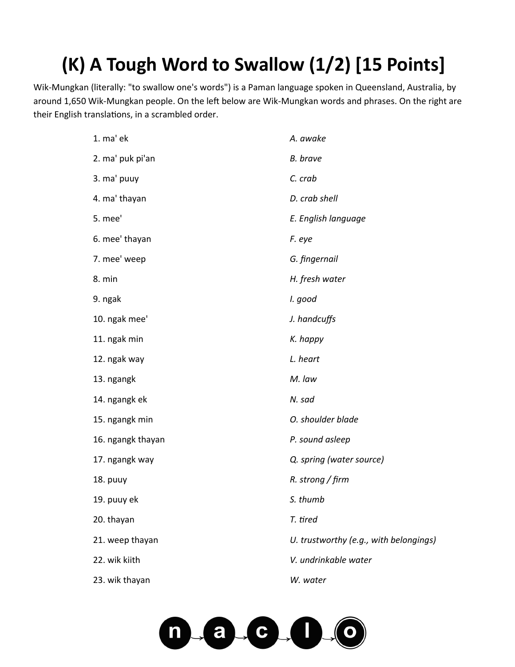## **(K) A Tough Word to Swallow (1/2) [15 Points]**

Wik-Mungkan (literally: "to swallow one's words") is a Paman language spoken in Queensland, Australia, by around 1,650 Wik-Mungkan people. On the left below are Wik-Mungkan words and phrases. On the right are their English translations, in a scrambled order.

| 1. ma' ek         | A. awake                               |
|-------------------|----------------------------------------|
| 2. ma' puk pi'an  | <b>B.</b> brave                        |
| 3. ma' puuy       | C. crab                                |
| 4. ma' thayan     | D. crab shell                          |
| 5. mee'           | E. English language                    |
| 6. mee' thayan    | F. eye                                 |
| 7. mee' weep      | G. fingernail                          |
| 8. min            | H. fresh water                         |
| 9. ngak           | I. good                                |
| 10. ngak mee'     | J. handcuffs                           |
| 11. ngak min      | K. happy                               |
| 12. ngak way      | L. heart                               |
| 13. ngangk        | M. law                                 |
| 14. ngangk ek     | N. sad                                 |
| 15. ngangk min    | O. shoulder blade                      |
| 16. ngangk thayan | P. sound asleep                        |
| 17. ngangk way    | Q. spring (water source)               |
| 18. puuy          | $R.$ strong / firm                     |
| 19. puuy ek       | S. thumb                               |
| 20. thayan        | T. tired                               |
| 21. weep thayan   | U. trustworthy (e.g., with belongings) |
| 22. wik kiith     | V. undrinkable water                   |
| 23. wik thayan    | W. water                               |
|                   |                                        |